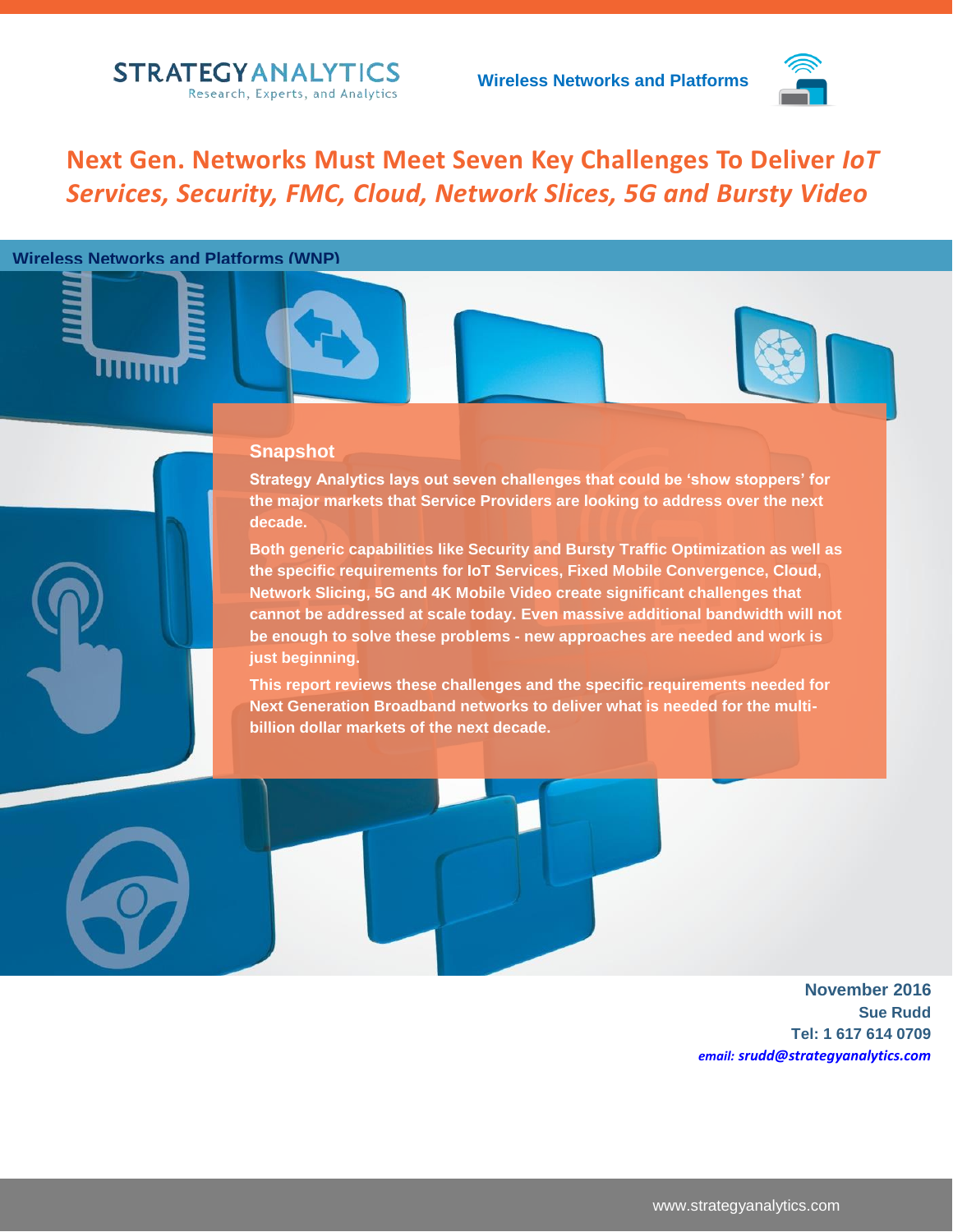

**Next Gen. Networks Must Meet Seven Key Challenges To Deliver** *IoT Services, Security, FMC, Cloud, Network Slices, 5G and Bursty Video*

#### **Wireless Networks and Platforms (WNP)**

IIM

#### **Snapshot**

**Strategy Analytics lays out seven challenges that could be 'show stoppers' for the major markets that Service Providers are looking to address over the next decade.** 

**Both generic capabilities like Security and Bursty Traffic Optimization as well as the specific requirements for IoT Services, Fixed Mobile Convergence, Cloud, Network Slicing, 5G and 4K Mobile Video create significant challenges that cannot be addressed at scale today. Even massive additional bandwidth will not be enough to solve these problems - new approaches are needed and work is just beginning.**

**This report reviews these challenges and the specific requirements needed for Next Generation Broadband networks to deliver what is needed for the multibillion dollar markets of the next decade.**

> **November 2016 Sue Rudd Tel: 1 617 614 0709** *email: srudd@strategyanalytics.com*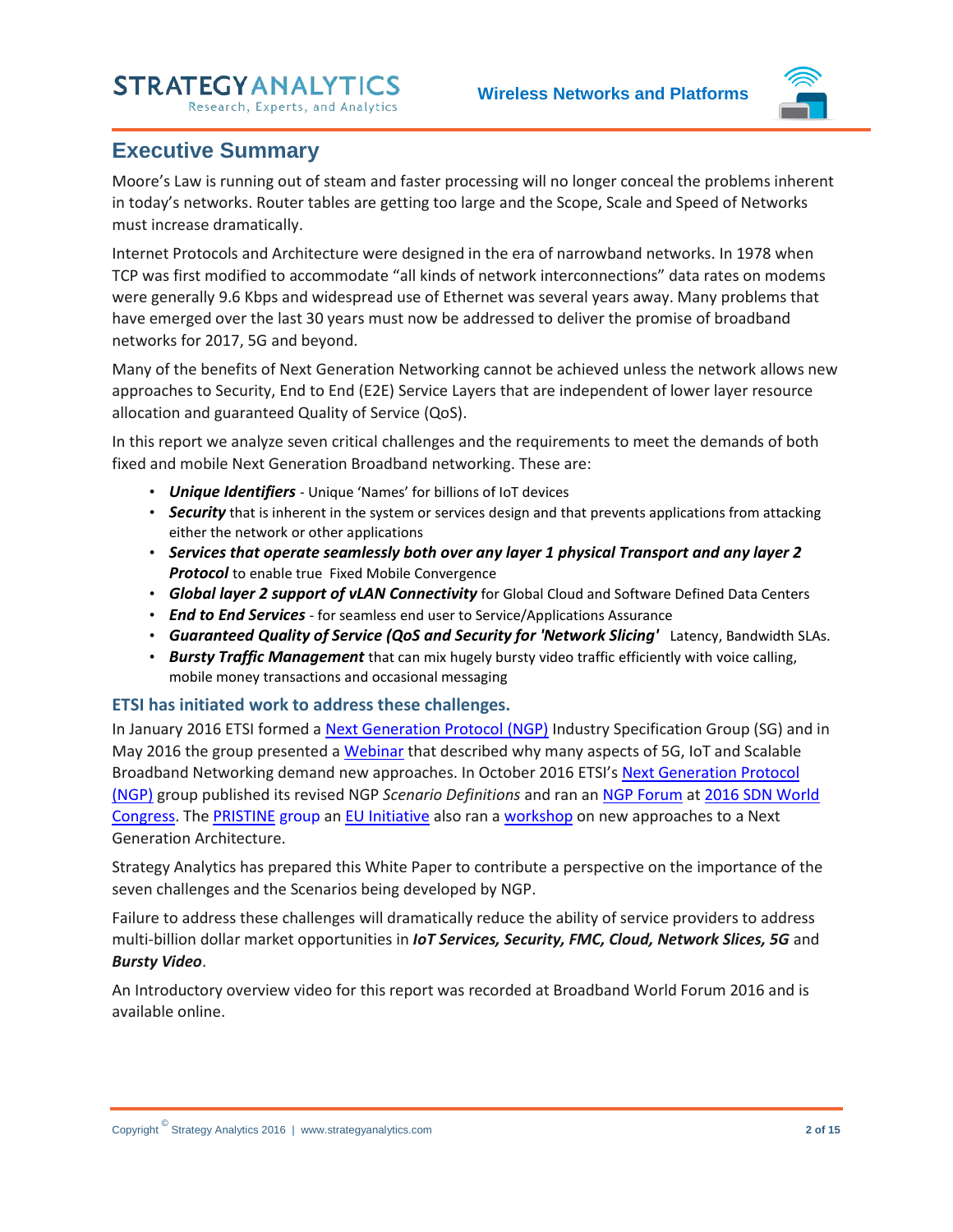**Wireless Networks and Platforms**



### <span id="page-1-0"></span>**Executive Summary**

Moore's Law is running out of steam and faster processing will no longer conceal the problems inherent in today's networks. Router tables are getting too large and the Scope, Scale and Speed of Networks must increase dramatically.

Internet Protocols and Architecture were designed in the era of narrowband networks. In 1978 when TCP was first modified to accommodate "all kinds of network interconnections" data rates on modems were generally 9.6 Kbps and widespread use of Ethernet was several years away. Many problems that have emerged over the last 30 years must now be addressed to deliver the promise of broadband networks for 2017, 5G and beyond.

Many of the benefits of Next Generation Networking cannot be achieved unless the network allows new approaches to Security, End to End (E2E) Service Layers that are independent of lower layer resource allocation and guaranteed Quality of Service (QoS).

In this report we analyze seven critical challenges and the requirements to meet the demands of both fixed and mobile Next Generation Broadband networking. These are:

- *Unique Identifiers* Unique 'Names' for billions of IoT devices
- *Security* that is inherent in the system or services design and that prevents applications from attacking either the network or other applications
- *Services that operate seamlessly both over any layer 1 physical Transport and any layer 2*  **Protocol** to enable true Fixed Mobile Convergence
- *Global layer 2 support of vLAN Connectivity* for Global Cloud and Software Defined Data Centers
- *End to End Services* for seamless end user to Service/Applications Assurance
- *Guaranteed Quality of Service (QoS and Security for 'Network Slicing'* Latency, Bandwidth SLAs.
- *Bursty Traffic Management* that can mix hugely bursty video traffic efficiently with voice calling, mobile money transactions and occasional messaging

#### **ETSI has initiated work to address these challenges.**

In January 2016 ETSI formed a [Next Generation Protocol \(NGP\)](http://www.etsi.org/technologies-clusters/technologies/next-generation-protocols) Industry Specification Group (SG) and in May 2016 the group presented a [Webinar](http://www.etsi.org/index.php/news-events/events/1091-2016-05-webinar-next-generation-protocols) that described why many aspects of 5G, IoT and Scalable Broadband Networking demand new approaches. In October 2016 ETSI's [Next Generation Protocol](http://www.etsi.org/technologies-clusters/technologies/next-generation-protocols)  [\(NGP\)](http://www.etsi.org/technologies-clusters/technologies/next-generation-protocols) group published its revised NGP *Scenario Definitions* and ran an [NGP Forum](http://www.layer123.com/sdn-agenda-workshop/#Forum-11) a[t 2016 SDN World](http://www.layer123.com/sdn)  [Congress.](http://www.layer123.com/sdn) The [PRISTINE](http://ict-pristine.eu/?cat=4) group an [EU Initiative](http://cordis.europa.eu/project/rcn/189055_en.html) also ran a [workshop](http://www.layer123.com/sdn-agenda-day2/#Forum-7) on new approaches to a Next Generation Architecture.

Strategy Analytics has prepared this White Paper to contribute a perspective on the importance of the seven challenges and the Scenarios being developed by NGP.

Failure to address these challenges will dramatically reduce the ability of service providers to address multi-billion dollar market opportunities in *IoT Services, Security, FMC, Cloud, Network Slices, 5G* and *Bursty Video*.

An Introductory overview video for this report was recorded at Broadband World Forum 2016 and is available online.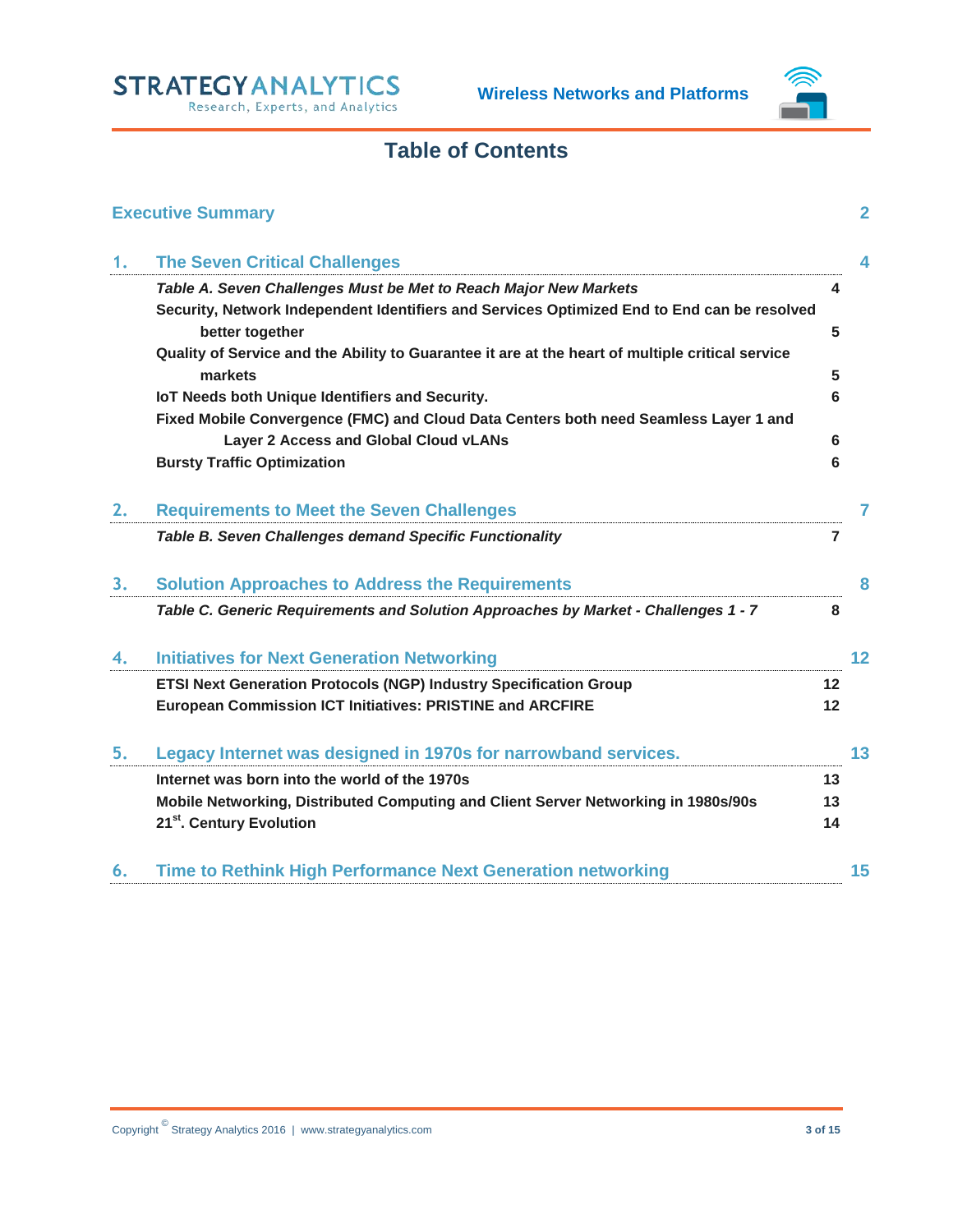

## **Table of Contents**

|    | <b>Executive Summary</b>                                                                                                      |    | $\mathbf{2}$ |
|----|-------------------------------------------------------------------------------------------------------------------------------|----|--------------|
| 1. | <b>The Seven Critical Challenges</b>                                                                                          |    | 4            |
|    | Table A. Seven Challenges Must be Met to Reach Major New Markets                                                              | 4  |              |
|    | Security, Network Independent Identifiers and Services Optimized End to End can be resolved                                   |    |              |
|    | better together                                                                                                               | 5  |              |
|    | Quality of Service and the Ability to Guarantee it are at the heart of multiple critical service                              |    |              |
|    | markets                                                                                                                       | 5  |              |
|    | IoT Needs both Unique Identifiers and Security.                                                                               | 6  |              |
|    | Fixed Mobile Convergence (FMC) and Cloud Data Centers both need Seamless Layer 1 and<br>Layer 2 Access and Global Cloud vLANs | 6  |              |
|    | <b>Bursty Traffic Optimization</b>                                                                                            | 6  |              |
|    |                                                                                                                               |    |              |
| 2. | <b>Requirements to Meet the Seven Challenges</b>                                                                              |    | 7            |
|    | Table B. Seven Challenges demand Specific Functionality                                                                       | 7  |              |
| 3. | <b>Solution Approaches to Address the Requirements</b>                                                                        |    | 8            |
|    | Table C. Generic Requirements and Solution Approaches by Market - Challenges 1 - 7                                            | 8  |              |
| 4. | <b>Initiatives for Next Generation Networking</b>                                                                             |    | 12           |
|    | ETSI Next Generation Protocols (NGP) Industry Specification Group                                                             | 12 |              |
|    | <b>European Commission ICT Initiatives: PRISTINE and ARCFIRE</b>                                                              | 12 |              |
| 5. | Legacy Internet was designed in 1970s for narrowband services.                                                                |    | 13           |
|    | Internet was born into the world of the 1970s                                                                                 | 13 |              |
|    | Mobile Networking, Distributed Computing and Client Server Networking in 1980s/90s                                            | 13 |              |
|    | 21 <sup>st</sup> . Century Evolution                                                                                          | 14 |              |
| 6. | Time to Rethink High Performance Next Generation networking                                                                   |    | 15           |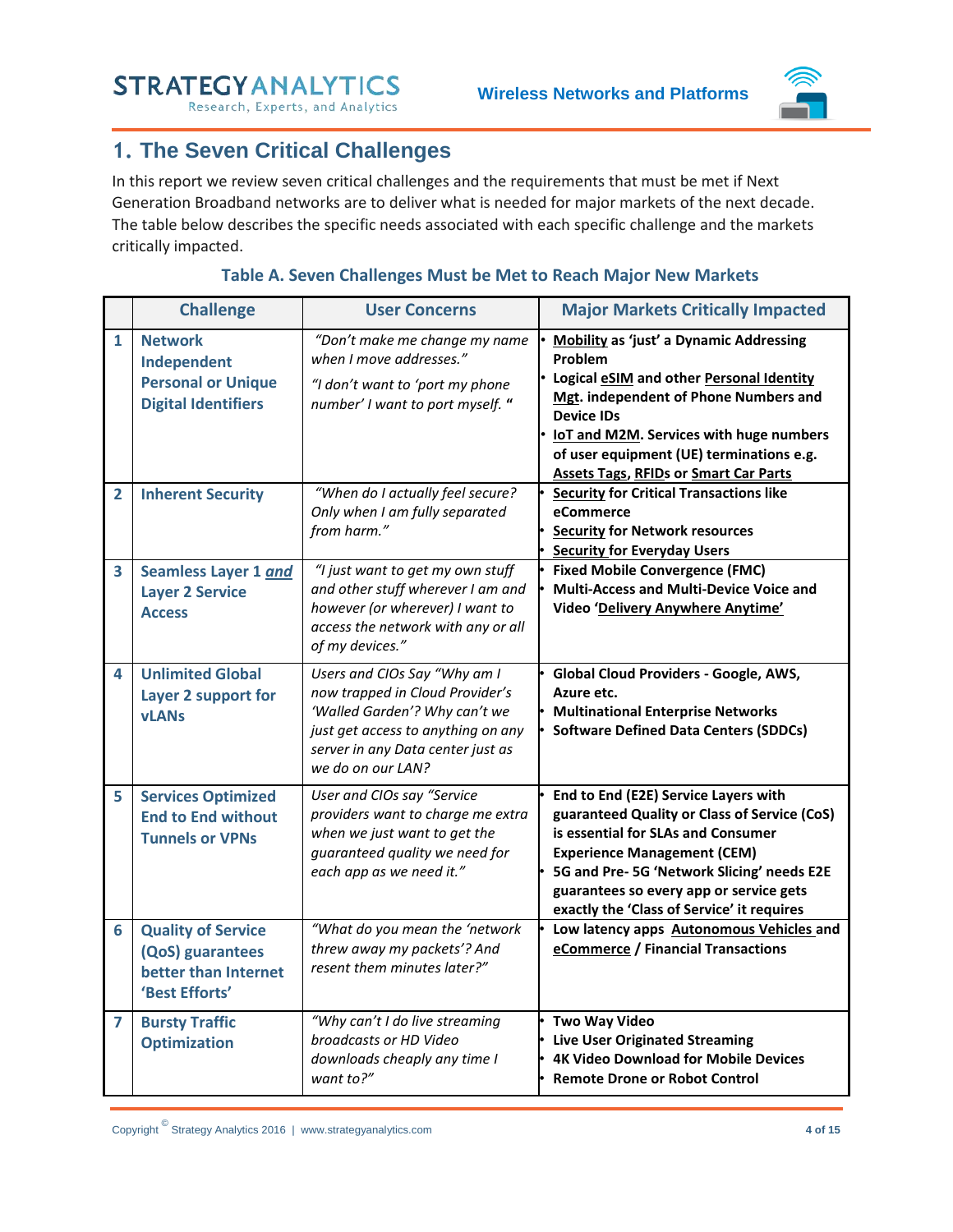Research, Experts, and Analytics



## <span id="page-3-0"></span>**1. The Seven Critical Challenges**

In this report we review seven critical challenges and the requirements that must be met if Next Generation Broadband networks are to deliver what is needed for major markets of the next decade. The table below describes the specific needs associated with each specific challenge and the markets critically impacted.

<span id="page-3-1"></span>

|                | <b>Challenge</b>                                                                         | <b>User Concerns</b>                                                                                                                                                                             | <b>Major Markets Critically Impacted</b>                                                                                                                                                                                                                                                                            |
|----------------|------------------------------------------------------------------------------------------|--------------------------------------------------------------------------------------------------------------------------------------------------------------------------------------------------|---------------------------------------------------------------------------------------------------------------------------------------------------------------------------------------------------------------------------------------------------------------------------------------------------------------------|
| $\mathbf{1}$   | <b>Network</b><br>Independent<br><b>Personal or Unique</b><br><b>Digital Identifiers</b> | "Don't make me change my name<br>when I move addresses."<br>"I don't want to 'port my phone<br>number' I want to port myself. "                                                                  | <b>Mobility as 'just' a Dynamic Addressing</b><br><b>Problem</b><br>• Logical eSIM and other Personal Identity<br>Mgt. independent of Phone Numbers and<br><b>Device IDs</b><br>IoT and M2M. Services with huge numbers<br>of user equipment (UE) terminations e.g.<br><b>Assets Tags, RFIDs or Smart Car Parts</b> |
| $\mathbf{2}$   | <b>Inherent Security</b>                                                                 | "When do I actually feel secure?<br>Only when I am fully separated<br>from harm."                                                                                                                | <b>Security for Critical Transactions like</b><br>eCommerce<br><b>Security for Network resources</b><br><b>Security for Everyday Users</b>                                                                                                                                                                          |
| 3              | Seamless Layer 1 and<br><b>Layer 2 Service</b><br><b>Access</b>                          | "I just want to get my own stuff<br>and other stuff wherever I am and<br>however (or wherever) I want to<br>access the network with any or all<br>of my devices."                                | <b>Fixed Mobile Convergence (FMC)</b><br>Multi-Access and Multi-Device Voice and<br>Video 'Delivery Anywhere Anytime'                                                                                                                                                                                               |
| 4              | <b>Unlimited Global</b><br>Layer 2 support for<br><b>vLANs</b>                           | Users and CIOs Say "Why am I<br>now trapped in Cloud Provider's<br>'Walled Garden'? Why can't we<br>just get access to anything on any<br>server in any Data center just as<br>we do on our LAN? | Global Cloud Providers - Google, AWS,<br>Azure etc.<br><b>Multinational Enterprise Networks</b><br><b>Software Defined Data Centers (SDDCs)</b>                                                                                                                                                                     |
| 5              | <b>Services Optimized</b><br><b>End to End without</b><br><b>Tunnels or VPNs</b>         | User and CIOs say "Service<br>providers want to charge me extra<br>when we just want to get the<br>guaranteed quality we need for<br>each app as we need it."                                    | End to End (E2E) Service Layers with<br>guaranteed Quality or Class of Service (CoS)<br>is essential for SLAs and Consumer<br><b>Experience Management (CEM)</b><br>5G and Pre-5G 'Network Slicing' needs E2E<br>guarantees so every app or service gets<br>exactly the 'Class of Service' it requires              |
| 6              | <b>Quality of Service</b><br>(QoS) guarantees<br>better than Internet<br>'Best Efforts'  | "What do you mean the 'network<br>threw away my packets'? And<br>resent them minutes later?"                                                                                                     | Low latency apps Autonomous Vehicles and<br>eCommerce / Financial Transactions                                                                                                                                                                                                                                      |
| $\overline{ }$ | <b>Bursty Traffic</b><br><b>Optimization</b>                                             | "Why can't I do live streaming<br>broadcasts or HD Video<br>downloads cheaply any time I<br>want to?"                                                                                            | <b>Two Way Video</b><br><b>Live User Originated Streaming</b><br><b>4K Video Download for Mobile Devices</b><br><b>Remote Drone or Robot Control</b>                                                                                                                                                                |

#### **Table A. Seven Challenges Must be Met to Reach Major New Markets**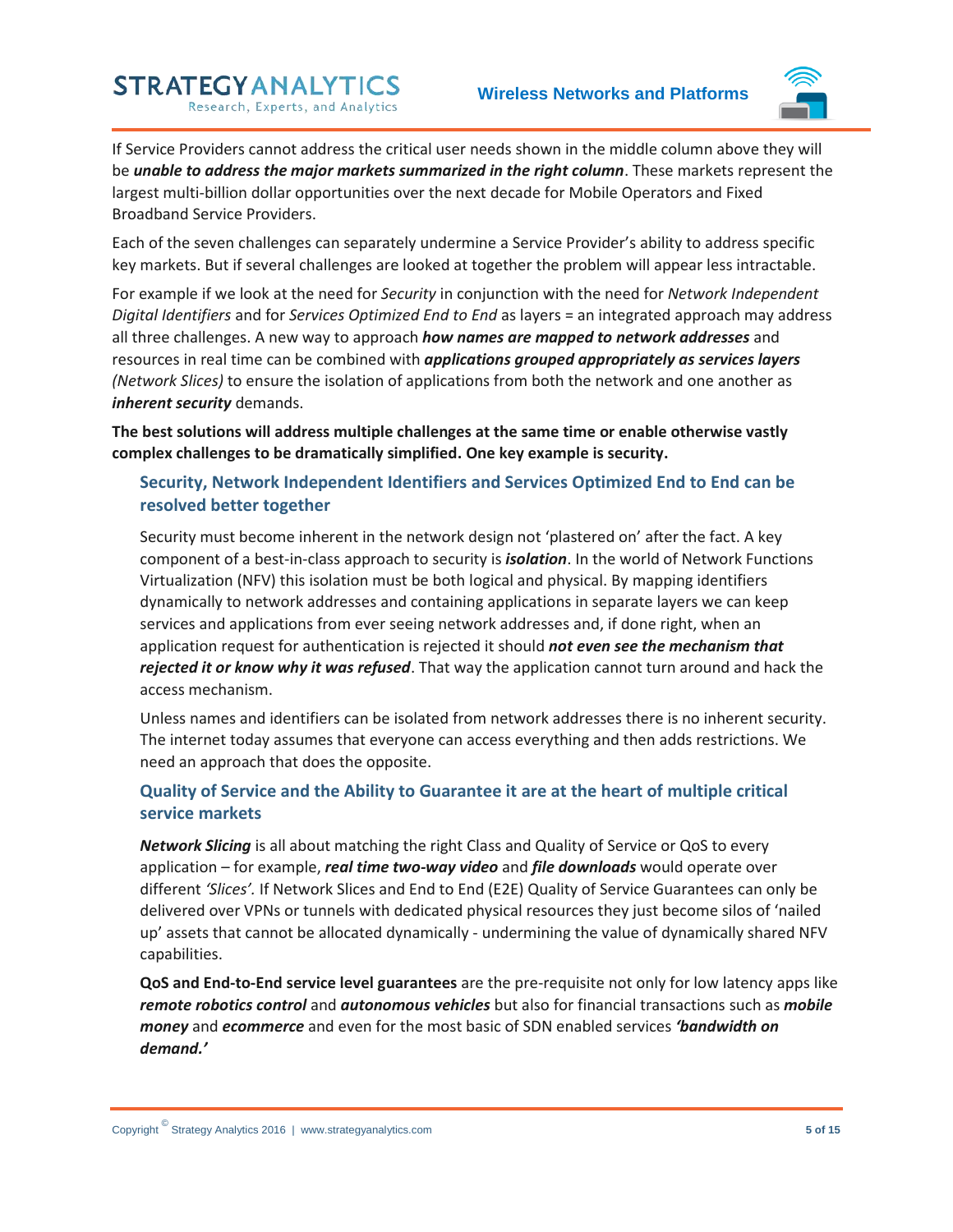

If Service Providers cannot address the critical user needs shown in the middle column above they will be *unable to address the major markets summarized in the right column*. These markets represent the largest multi-billion dollar opportunities over the next decade for Mobile Operators and Fixed Broadband Service Providers.

Each of the seven challenges can separately undermine a Service Provider's ability to address specific key markets. But if several challenges are looked at together the problem will appear less intractable.

For example if we look at the need for *Security* in conjunction with the need for *Network Independent Digital Identifiers* and for *Services Optimized End to End* as layers = an integrated approach may address all three challenges. A new way to approach *how names are mapped to network addresses* and resources in real time can be combined with *applications grouped appropriately as services layers (Network Slices)* to ensure the isolation of applications from both the network and one another as *inherent security* demands.

**The best solutions will address multiple challenges at the same time or enable otherwise vastly complex challenges to be dramatically simplified. One key example is security.**

#### <span id="page-4-0"></span>**Security, Network Independent Identifiers and Services Optimized End to End can be resolved better together**

Security must become inherent in the network design not 'plastered on' after the fact. A key component of a best-in-class approach to security is *isolation*. In the world of Network Functions Virtualization (NFV) this isolation must be both logical and physical. By mapping identifiers dynamically to network addresses and containing applications in separate layers we can keep services and applications from ever seeing network addresses and, if done right, when an application request for authentication is rejected it should *not even see the mechanism that rejected it or know why it was refused*. That way the application cannot turn around and hack the access mechanism.

Unless names and identifiers can be isolated from network addresses there is no inherent security. The internet today assumes that everyone can access everything and then adds restrictions. We need an approach that does the opposite.

#### <span id="page-4-1"></span>**Quality of Service and the Ability to Guarantee it are at the heart of multiple critical service markets**

*Network Slicing* is all about matching the right Class and Quality of Service or QoS to every application – for example, *real time two-way video* and *file downloads* would operate over different *'Slices'.* If Network Slices and End to End (E2E) Quality of Service Guarantees can only be delivered over VPNs or tunnels with dedicated physical resources they just become silos of 'nailed up' assets that cannot be allocated dynamically - undermining the value of dynamically shared NFV capabilities.

**QoS and End-to-End service level guarantees** are the pre-requisite not only for low latency apps like *remote robotics control* and *autonomous vehicles* but also for financial transactions such as *mobile money* and *ecommerce* and even for the most basic of SDN enabled services *'bandwidth on demand.'*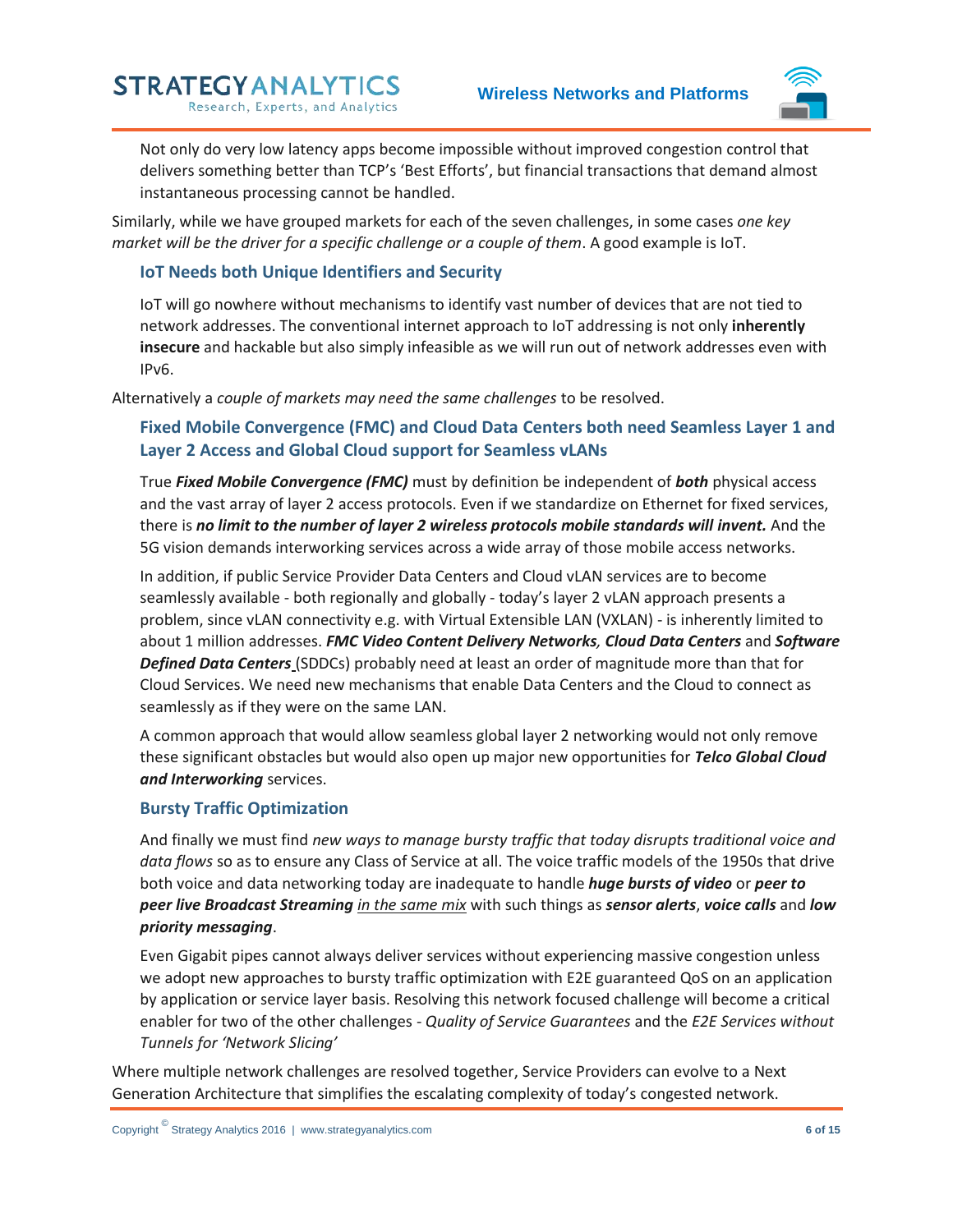

Not only do very low latency apps become impossible without improved congestion control that delivers something better than TCP's 'Best Efforts', but financial transactions that demand almost instantaneous processing cannot be handled.

Similarly, while we have grouped markets for each of the seven challenges, in some cases *one key market will be the driver for a specific challenge or a couple of them*. A good example is IoT.

#### <span id="page-5-0"></span>**IoT Needs both Unique Identifiers and Security**

**STRATEGYANALYTICS** 

Research, Experts, and Analytics

IoT will go nowhere without mechanisms to identify vast number of devices that are not tied to network addresses. The conventional internet approach to IoT addressing is not only **inherently insecure** and hackable but also simply infeasible as we will run out of network addresses even with IPv6.

<span id="page-5-1"></span>Alternatively a *couple of markets may need the same challenges* to be resolved.

#### **Fixed Mobile Convergence (FMC) and Cloud Data Centers both need Seamless Layer 1 and Layer 2 Access and Global Cloud support for Seamless vLANs**

True *Fixed Mobile Convergence (FMC)* must by definition be independent of *both* physical access and the vast array of layer 2 access protocols. Even if we standardize on Ethernet for fixed services, there is *no limit to the number of layer 2 wireless protocols mobile standards will invent.* And the 5G vision demands interworking services across a wide array of those mobile access networks.

In addition, if public Service Provider Data Centers and Cloud vLAN services are to become seamlessly available - both regionally and globally - today's layer 2 vLAN approach presents a problem, since vLAN connectivity e.g. with Virtual Extensible LAN (VXLAN) - is inherently limited to about 1 million addresses. *FMC Video Content Delivery Networks, Cloud Data Centers* and *Software Defined Data Centers* (SDDCs) probably need at least an order of magnitude more than that for Cloud Services. We need new mechanisms that enable Data Centers and the Cloud to connect as seamlessly as if they were on the same LAN.

A common approach that would allow seamless global layer 2 networking would not only remove these significant obstacles but would also open up major new opportunities for *Telco Global Cloud and Interworking* services.

#### <span id="page-5-2"></span>**Bursty Traffic Optimization**

And finally we must find *new ways to manage bursty traffic that today disrupts traditional voice and data flows* so as to ensure any Class of Service at all. The voice traffic models of the 1950s that drive both voice and data networking today are inadequate to handle *huge bursts of video* or *peer to peer live Broadcast Streaming in the same mix* with such things as *sensor alerts*, *voice calls* and *low priority messaging*.

Even Gigabit pipes cannot always deliver services without experiencing massive congestion unless we adopt new approaches to bursty traffic optimization with E2E guaranteed QoS on an application by application or service layer basis. Resolving this network focused challenge will become a critical enabler for two of the other challenges - *Quality of Service Guarantees* and the *E2E Services without Tunnels for 'Network Slicing'*

Where multiple network challenges are resolved together, Service Providers can evolve to a Next Generation Architecture that simplifies the escalating complexity of today's congested network.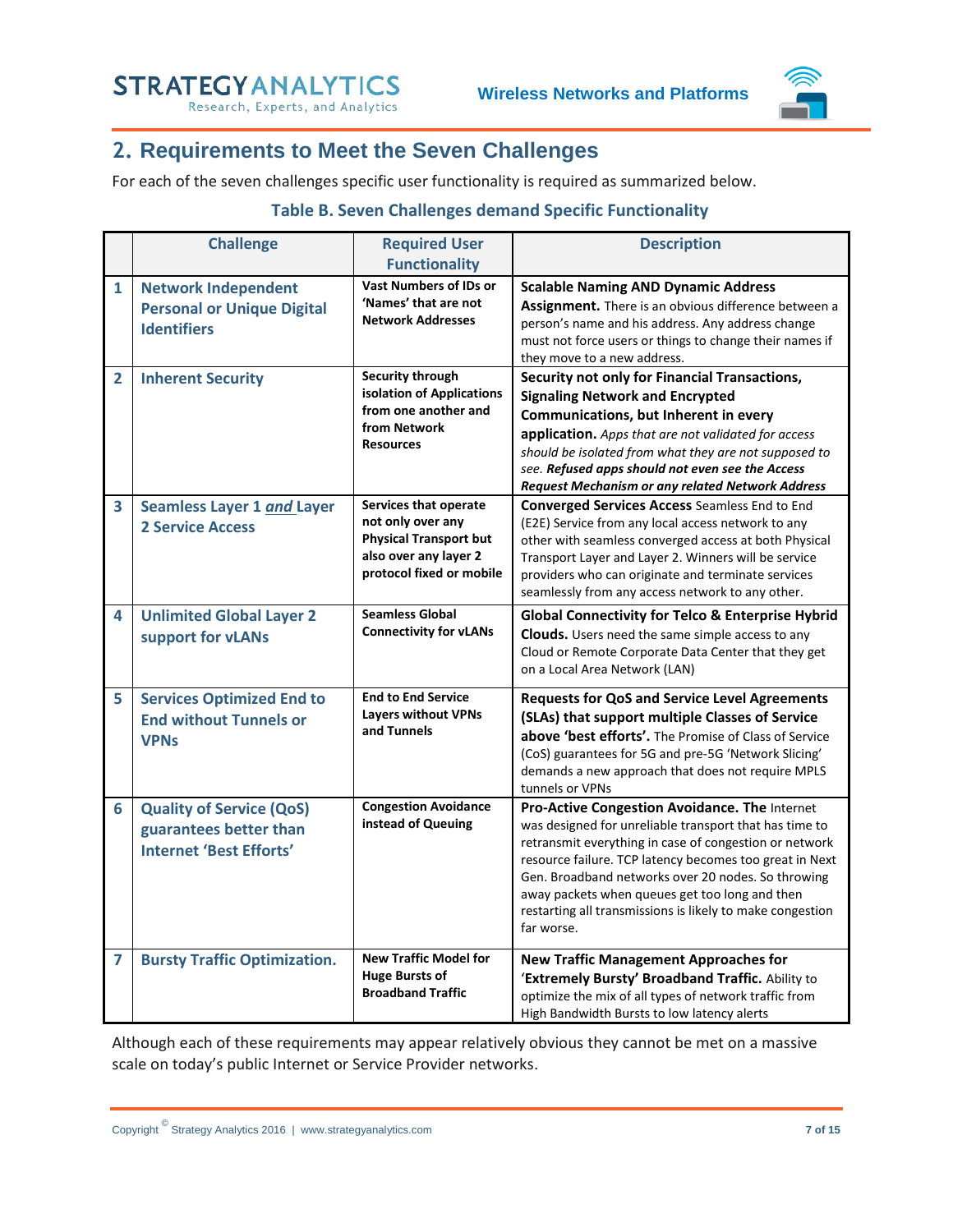

## <span id="page-6-0"></span>**2. Requirements to Meet the Seven Challenges**

<span id="page-6-1"></span>For each of the seven challenges specific user functionality is required as summarized below.

#### **Table B. Seven Challenges demand Specific Functionality**

|                | <b>Challenge</b>                                                                            | <b>Required User</b>                                                                                                             | <b>Description</b>                                                                                                                                                                                                                                                                                                                                                                                              |  |
|----------------|---------------------------------------------------------------------------------------------|----------------------------------------------------------------------------------------------------------------------------------|-----------------------------------------------------------------------------------------------------------------------------------------------------------------------------------------------------------------------------------------------------------------------------------------------------------------------------------------------------------------------------------------------------------------|--|
|                |                                                                                             | <b>Functionality</b>                                                                                                             |                                                                                                                                                                                                                                                                                                                                                                                                                 |  |
| $\mathbf{1}$   | <b>Network Independent</b><br><b>Personal or Unique Digital</b><br><b>Identifiers</b>       | <b>Vast Numbers of IDs or</b><br>'Names' that are not<br><b>Network Addresses</b>                                                | <b>Scalable Naming AND Dynamic Address</b><br>Assignment. There is an obvious difference between a<br>person's name and his address. Any address change<br>must not force users or things to change their names if<br>they move to a new address.                                                                                                                                                               |  |
| $\overline{2}$ | <b>Inherent Security</b>                                                                    | <b>Security through</b><br>isolation of Applications<br>from one another and<br>from Network<br><b>Resources</b>                 | Security not only for Financial Transactions,<br><b>Signaling Network and Encrypted</b><br>Communications, but Inherent in every<br>application. Apps that are not validated for access<br>should be isolated from what they are not supposed to<br>see. Refused apps should not even see the Access<br><b>Request Mechanism or any related Network Address</b>                                                 |  |
| 3              | Seamless Layer 1 and Layer<br><b>2 Service Access</b>                                       | Services that operate<br>not only over any<br><b>Physical Transport but</b><br>also over any layer 2<br>protocol fixed or mobile | <b>Converged Services Access Seamless End to End</b><br>(E2E) Service from any local access network to any<br>other with seamless converged access at both Physical<br>Transport Layer and Layer 2. Winners will be service<br>providers who can originate and terminate services<br>seamlessly from any access network to any other.                                                                           |  |
| 4              | <b>Unlimited Global Layer 2</b><br>support for vLANs                                        | <b>Seamless Global</b><br><b>Connectivity for vLANs</b>                                                                          | <b>Global Connectivity for Telco &amp; Enterprise Hybrid</b><br><b>Clouds.</b> Users need the same simple access to any<br>Cloud or Remote Corporate Data Center that they get<br>on a Local Area Network (LAN)                                                                                                                                                                                                 |  |
| 5              | <b>Services Optimized End to</b><br><b>End without Tunnels or</b><br><b>VPNs</b>            | <b>End to End Service</b><br><b>Layers without VPNs</b><br>and Tunnels                                                           | <b>Requests for QoS and Service Level Agreements</b><br>(SLAs) that support multiple Classes of Service<br>above 'best efforts'. The Promise of Class of Service<br>(CoS) guarantees for 5G and pre-5G 'Network Slicing'<br>demands a new approach that does not require MPLS<br>tunnels or VPNs                                                                                                                |  |
| 6              | <b>Quality of Service (QoS)</b><br>guarantees better than<br><b>Internet 'Best Efforts'</b> | <b>Congestion Avoidance</b><br>instead of Queuing                                                                                | Pro-Active Congestion Avoidance. The Internet<br>was designed for unreliable transport that has time to<br>retransmit everything in case of congestion or network<br>resource failure. TCP latency becomes too great in Next<br>Gen. Broadband networks over 20 nodes. So throwing<br>away packets when queues get too long and then<br>restarting all transmissions is likely to make congestion<br>far worse. |  |
| 7              | <b>Bursty Traffic Optimization.</b>                                                         | <b>New Traffic Model for</b><br><b>Huge Bursts of</b><br><b>Broadband Traffic</b>                                                | <b>New Traffic Management Approaches for</b><br>'Extremely Bursty' Broadband Traffic. Ability to<br>optimize the mix of all types of network traffic from<br>High Bandwidth Bursts to low latency alerts                                                                                                                                                                                                        |  |

Although each of these requirements may appear relatively obvious they cannot be met on a massive scale on today's public Internet or Service Provider networks.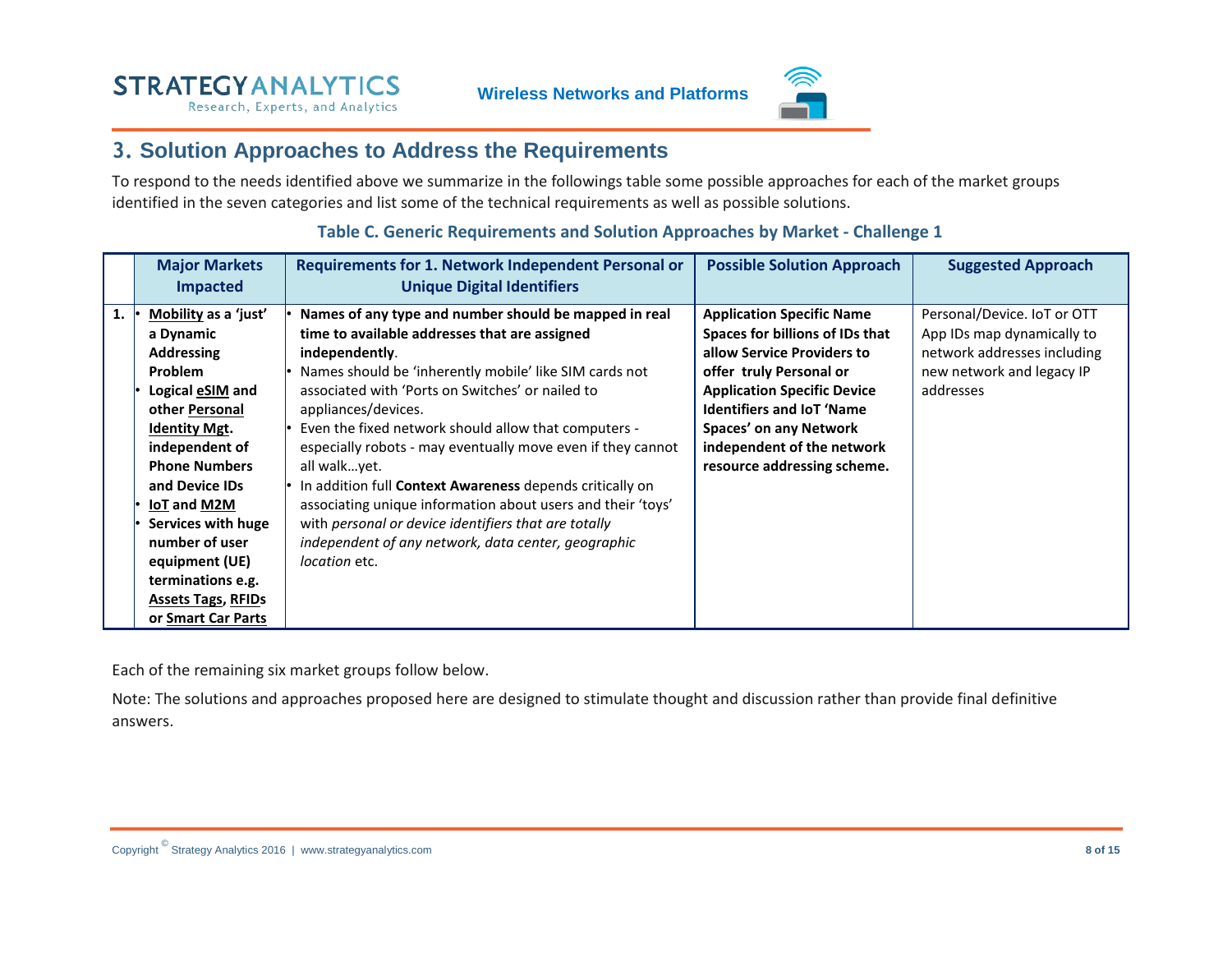

### **3. Solution Approaches to Address the Requirements**

To respond to the needs identified above we summarize in the followings table some possible approaches for each of the market groups identified in the seven categories and list some of the technical requirements as well as possible solutions.

<span id="page-7-0"></span>

|    | <b>Major Markets</b><br><b>Impacted</b>                                                                                                                                                                                                                                                                                                             | Requirements for 1. Network Independent Personal or<br><b>Unique Digital Identifiers</b>                                                                                                                                                                                                                                                                                                                                                                                                                                                                                                                                                                        | <b>Possible Solution Approach</b>                                                                                                                                                                                                                                                             | <b>Suggested Approach</b>                                                                                                          |
|----|-----------------------------------------------------------------------------------------------------------------------------------------------------------------------------------------------------------------------------------------------------------------------------------------------------------------------------------------------------|-----------------------------------------------------------------------------------------------------------------------------------------------------------------------------------------------------------------------------------------------------------------------------------------------------------------------------------------------------------------------------------------------------------------------------------------------------------------------------------------------------------------------------------------------------------------------------------------------------------------------------------------------------------------|-----------------------------------------------------------------------------------------------------------------------------------------------------------------------------------------------------------------------------------------------------------------------------------------------|------------------------------------------------------------------------------------------------------------------------------------|
| 1. | Mobility as a 'just'<br>a Dynamic<br><b>Addressing</b><br><b>Problem</b><br>Logical eSIM and<br>other Personal<br><b>Identity Mgt.</b><br>independent of<br><b>Phone Numbers</b><br>and Device IDs<br>IoT and M2M<br>Services with huge<br>number of user<br>equipment (UE)<br>terminations e.g.<br><b>Assets Tags, RFIDs</b><br>or Smart Car Parts | Names of any type and number should be mapped in real<br>time to available addresses that are assigned<br>independently.<br>Names should be 'inherently mobile' like SIM cards not<br>associated with 'Ports on Switches' or nailed to<br>appliances/devices.<br>Even the fixed network should allow that computers -<br>especially robots - may eventually move even if they cannot<br>all walkyet.<br>In addition full Context Awareness depends critically on<br>associating unique information about users and their 'toys'<br>with personal or device identifiers that are totally<br>independent of any network, data center, geographic<br>location etc. | <b>Application Specific Name</b><br>Spaces for billions of IDs that<br>allow Service Providers to<br>offer truly Personal or<br><b>Application Specific Device</b><br><b>Identifiers and IoT 'Name</b><br>Spaces' on any Network<br>independent of the network<br>resource addressing scheme. | Personal/Device. IoT or OTT<br>App IDs map dynamically to<br>network addresses including<br>new network and legacy IP<br>addresses |

#### **Table C. Generic Requirements and Solution Approaches by Market - Challenge 1**

<span id="page-7-1"></span>Each of the remaining six market groups follow below.

Note: The solutions and approaches proposed here are designed to stimulate thought and discussion rather than provide final definitive answers.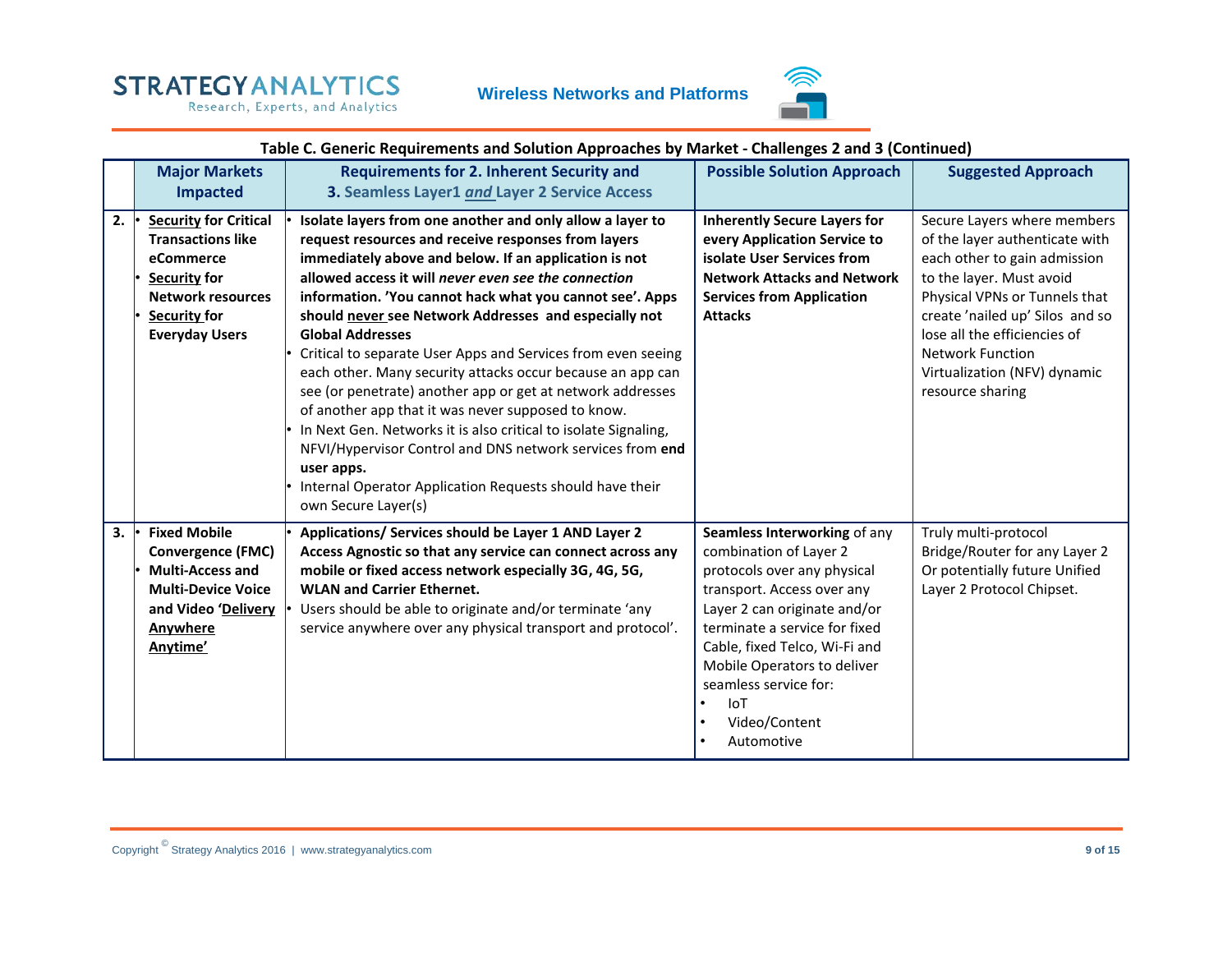Research, Experts, and Analytics





#### **Table C. Generic Requirements and Solution Approaches by Market - Challenges 2 and 3 (Continued)**

|    | <b>Major Markets</b><br><b>Impacted</b>                                                                                                                       | <b>Requirements for 2. Inherent Security and</b><br>3. Seamless Layer1 and Layer 2 Service Access                                                                                                                                                                                                                                                                                                                                                                                                                                                                                                                                                                                                                                                                                                                                                                    | <b>Possible Solution Approach</b>                                                                                                                                                                                                                                                                                   | <b>Suggested Approach</b>                                                                                                                                                                                                                                                                                    |
|----|---------------------------------------------------------------------------------------------------------------------------------------------------------------|----------------------------------------------------------------------------------------------------------------------------------------------------------------------------------------------------------------------------------------------------------------------------------------------------------------------------------------------------------------------------------------------------------------------------------------------------------------------------------------------------------------------------------------------------------------------------------------------------------------------------------------------------------------------------------------------------------------------------------------------------------------------------------------------------------------------------------------------------------------------|---------------------------------------------------------------------------------------------------------------------------------------------------------------------------------------------------------------------------------------------------------------------------------------------------------------------|--------------------------------------------------------------------------------------------------------------------------------------------------------------------------------------------------------------------------------------------------------------------------------------------------------------|
| 2. | <b>Security for Critical</b><br><b>Transactions like</b><br>eCommerce<br>Security for<br><b>Network resources</b><br>Security for<br><b>Everyday Users</b>    | Isolate layers from one another and only allow a layer to<br>request resources and receive responses from layers<br>immediately above and below. If an application is not<br>allowed access it will never even see the connection<br>information. 'You cannot hack what you cannot see'. Apps<br>should never see Network Addresses and especially not<br><b>Global Addresses</b><br>Critical to separate User Apps and Services from even seeing<br>each other. Many security attacks occur because an app can<br>see (or penetrate) another app or get at network addresses<br>of another app that it was never supposed to know.<br>In Next Gen. Networks it is also critical to isolate Signaling,<br>NFVI/Hypervisor Control and DNS network services from end<br>user apps.<br>Internal Operator Application Requests should have their<br>own Secure Layer(s) | <b>Inherently Secure Layers for</b><br>every Application Service to<br>isolate User Services from<br><b>Network Attacks and Network</b><br><b>Services from Application</b><br><b>Attacks</b>                                                                                                                       | Secure Layers where members<br>of the layer authenticate with<br>each other to gain admission<br>to the layer. Must avoid<br>Physical VPNs or Tunnels that<br>create 'nailed up' Silos and so<br>lose all the efficiencies of<br><b>Network Function</b><br>Virtualization (NFV) dynamic<br>resource sharing |
| 3. | <b>Fixed Mobile</b><br><b>Convergence (FMC)</b><br><b>Multi-Access and</b><br><b>Multi-Device Voice</b><br>and Video 'Delivery<br><b>Anywhere</b><br>Anytime' | Applications/ Services should be Layer 1 AND Layer 2<br>Access Agnostic so that any service can connect across any<br>mobile or fixed access network especially 3G, 4G, 5G,<br><b>WLAN and Carrier Ethernet.</b><br>Users should be able to originate and/or terminate 'any<br>service anywhere over any physical transport and protocol'.                                                                                                                                                                                                                                                                                                                                                                                                                                                                                                                           | Seamless Interworking of any<br>combination of Layer 2<br>protocols over any physical<br>transport. Access over any<br>Layer 2 can originate and/or<br>terminate a service for fixed<br>Cable, fixed Telco, Wi-Fi and<br>Mobile Operators to deliver<br>seamless service for:<br>IoT<br>Video/Content<br>Automotive | Truly multi-protocol<br>Bridge/Router for any Layer 2<br>Or potentially future Unified<br>Layer 2 Protocol Chipset.                                                                                                                                                                                          |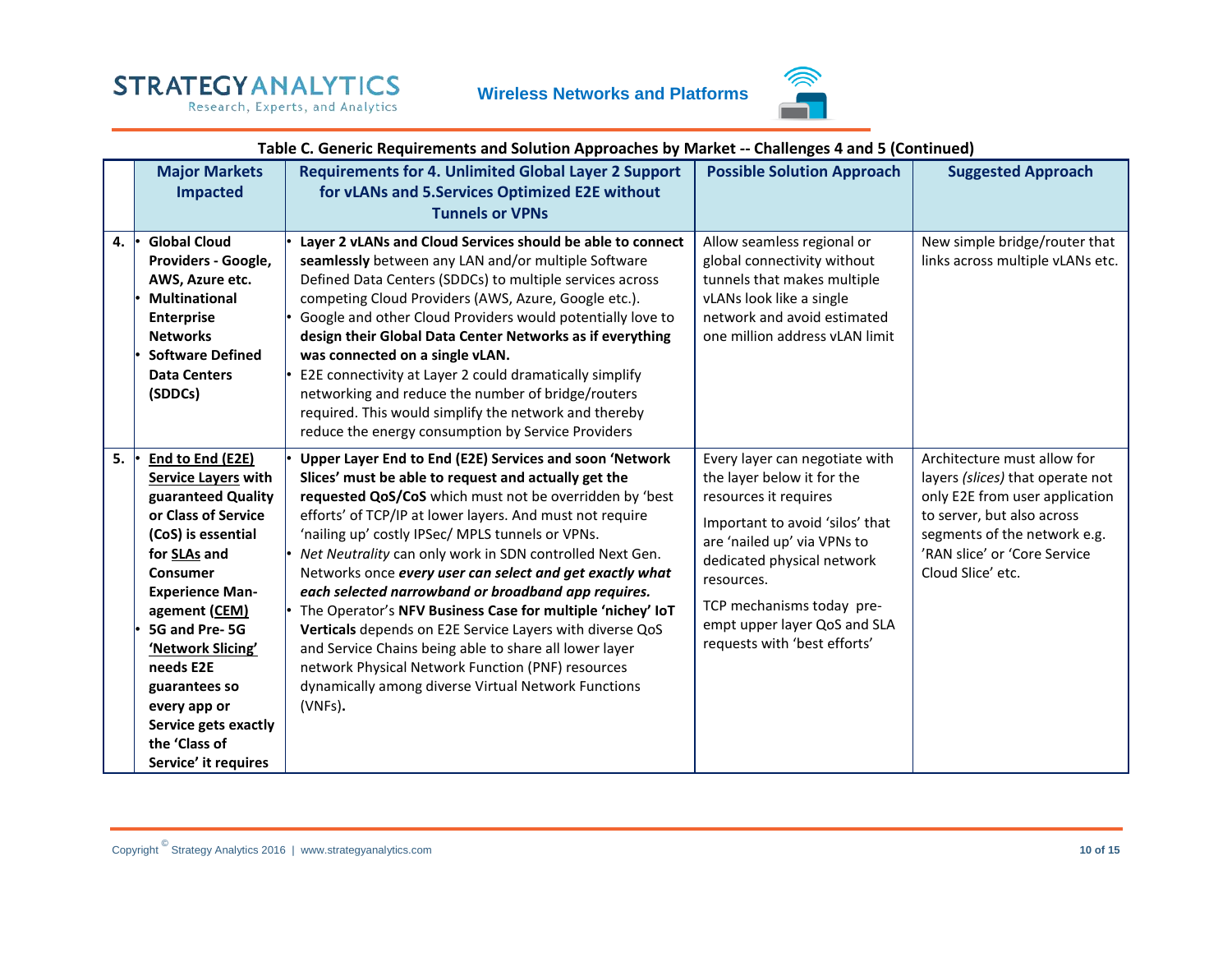Research, Experts, and Analytics





#### **Table C. Generic Requirements and Solution Approaches by Market -- Challenges 4 and 5 (Continued)**

|    | <b>Major Markets</b><br><b>Impacted</b>                                                                                                                                                                                                                                                                                                       | <b>Requirements for 4. Unlimited Global Layer 2 Support</b><br>for vLANs and 5.Services Optimized E2E without<br><b>Tunnels or VPNs</b>                                                                                                                                                                                                                                                                                                                                                                                                                                                                                                                                                                                                                                              | <b>Possible Solution Approach</b>                                                                                                                                                                                                                                                                | <b>Suggested Approach</b>                                                                                                                                                                                            |
|----|-----------------------------------------------------------------------------------------------------------------------------------------------------------------------------------------------------------------------------------------------------------------------------------------------------------------------------------------------|--------------------------------------------------------------------------------------------------------------------------------------------------------------------------------------------------------------------------------------------------------------------------------------------------------------------------------------------------------------------------------------------------------------------------------------------------------------------------------------------------------------------------------------------------------------------------------------------------------------------------------------------------------------------------------------------------------------------------------------------------------------------------------------|--------------------------------------------------------------------------------------------------------------------------------------------------------------------------------------------------------------------------------------------------------------------------------------------------|----------------------------------------------------------------------------------------------------------------------------------------------------------------------------------------------------------------------|
| 4. | <b>Global Cloud</b><br>Providers - Google,<br>AWS, Azure etc.<br><b>Multinational</b><br><b>Enterprise</b><br><b>Networks</b><br><b>Software Defined</b><br><b>Data Centers</b><br>(SDDCs)                                                                                                                                                    | Layer 2 vLANs and Cloud Services should be able to connect<br>seamlessly between any LAN and/or multiple Software<br>Defined Data Centers (SDDCs) to multiple services across<br>competing Cloud Providers (AWS, Azure, Google etc.).<br>Google and other Cloud Providers would potentially love to<br>design their Global Data Center Networks as if everything<br>was connected on a single vLAN.<br>E2E connectivity at Layer 2 could dramatically simplify<br>networking and reduce the number of bridge/routers<br>required. This would simplify the network and thereby<br>reduce the energy consumption by Service Providers                                                                                                                                                  | Allow seamless regional or<br>global connectivity without<br>tunnels that makes multiple<br>vLANs look like a single<br>network and avoid estimated<br>one million address vLAN limit                                                                                                            | New simple bridge/router that<br>links across multiple vLANs etc.                                                                                                                                                    |
| 5. | End to End (E2E)<br><b>Service Layers with</b><br>guaranteed Quality<br>or Class of Service<br>(CoS) is essential<br>for SLAs and<br>Consumer<br><b>Experience Man-</b><br>agement (CEM)<br>5G and Pre-5G<br>'Network Slicing'<br>needs E2E<br>guarantees so<br>every app or<br>Service gets exactly<br>the 'Class of<br>Service' it requires | Upper Layer End to End (E2E) Services and soon 'Network<br>Slices' must be able to request and actually get the<br>requested QoS/CoS which must not be overridden by 'best<br>efforts' of TCP/IP at lower layers. And must not require<br>'nailing up' costly IPSec/ MPLS tunnels or VPNs.<br>Net Neutrality can only work in SDN controlled Next Gen.<br>Networks once every user can select and get exactly what<br>each selected narrowband or broadband app requires.<br>The Operator's NFV Business Case for multiple 'nichey' IoT<br>Verticals depends on E2E Service Layers with diverse QoS<br>and Service Chains being able to share all lower layer<br>network Physical Network Function (PNF) resources<br>dynamically among diverse Virtual Network Functions<br>(VNFs). | Every layer can negotiate with<br>the layer below it for the<br>resources it requires<br>Important to avoid 'silos' that<br>are 'nailed up' via VPNs to<br>dedicated physical network<br>resources.<br>TCP mechanisms today pre-<br>empt upper layer QoS and SLA<br>requests with 'best efforts' | Architecture must allow for<br>layers (slices) that operate not<br>only E2E from user application<br>to server, but also across<br>segments of the network e.g.<br>'RAN slice' or 'Core Service<br>Cloud Slice' etc. |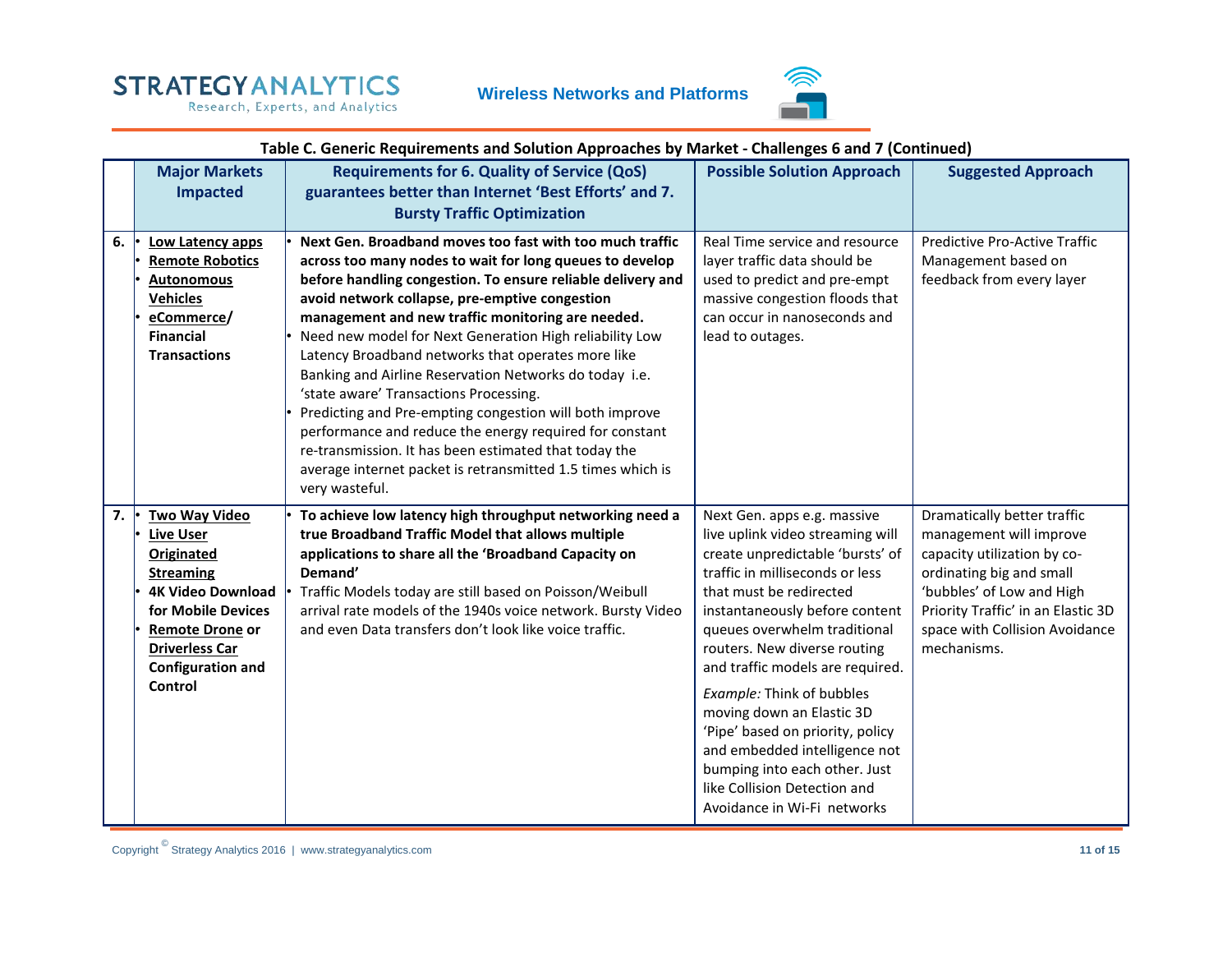Research, Experts, and Analytics



#### **Table C. Generic Requirements and Solution Approaches by Market - Challenges 6 and 7 (Continued)**

|    | <b>Major Markets</b><br><b>Impacted</b>                                                                                                                                                                         | <b>Requirements for 6. Quality of Service (QoS)</b><br>guarantees better than Internet 'Best Efforts' and 7.<br><b>Bursty Traffic Optimization</b>                                                                                                                                                                                                                                                                                                                                                                                                                                                                                                                                                                                                                              | <b>Possible Solution Approach</b>                                                                                                                                                                                                                                                                                                                                                                                                                                                                                                      | <b>Suggested Approach</b>                                                                                                                                                                                                             |
|----|-----------------------------------------------------------------------------------------------------------------------------------------------------------------------------------------------------------------|---------------------------------------------------------------------------------------------------------------------------------------------------------------------------------------------------------------------------------------------------------------------------------------------------------------------------------------------------------------------------------------------------------------------------------------------------------------------------------------------------------------------------------------------------------------------------------------------------------------------------------------------------------------------------------------------------------------------------------------------------------------------------------|----------------------------------------------------------------------------------------------------------------------------------------------------------------------------------------------------------------------------------------------------------------------------------------------------------------------------------------------------------------------------------------------------------------------------------------------------------------------------------------------------------------------------------------|---------------------------------------------------------------------------------------------------------------------------------------------------------------------------------------------------------------------------------------|
| 6. | Low Latency apps<br><b>Remote Robotics</b><br><b>Autonomous</b><br><b>Vehicles</b><br>eCommerce/<br><b>Financial</b><br><b>Transactions</b>                                                                     | Next Gen. Broadband moves too fast with too much traffic<br>across too many nodes to wait for long queues to develop<br>before handling congestion. To ensure reliable delivery and<br>avoid network collapse, pre-emptive congestion<br>management and new traffic monitoring are needed.<br>Need new model for Next Generation High reliability Low<br>Latency Broadband networks that operates more like<br>Banking and Airline Reservation Networks do today i.e.<br>'state aware' Transactions Processing.<br>Predicting and Pre-empting congestion will both improve<br>performance and reduce the energy required for constant<br>re-transmission. It has been estimated that today the<br>average internet packet is retransmitted 1.5 times which is<br>very wasteful. | Real Time service and resource<br>layer traffic data should be<br>used to predict and pre-empt<br>massive congestion floods that<br>can occur in nanoseconds and<br>lead to outages.                                                                                                                                                                                                                                                                                                                                                   | Predictive Pro-Active Traffic<br>Management based on<br>feedback from every layer                                                                                                                                                     |
| 7. | <b>Two Way Video</b><br>Live User<br>Originated<br><b>Streaming</b><br><b>4K Video Download</b><br>for Mobile Devices<br><b>Remote Drone or</b><br><b>Driverless Car</b><br><b>Configuration and</b><br>Control | To achieve low latency high throughput networking need a<br>true Broadband Traffic Model that allows multiple<br>applications to share all the 'Broadband Capacity on<br>Demand'<br>Traffic Models today are still based on Poisson/Weibull<br>arrival rate models of the 1940s voice network. Bursty Video<br>and even Data transfers don't look like voice traffic.                                                                                                                                                                                                                                                                                                                                                                                                           | Next Gen. apps e.g. massive<br>live uplink video streaming will<br>create unpredictable 'bursts' of<br>traffic in milliseconds or less<br>that must be redirected<br>instantaneously before content<br>queues overwhelm traditional<br>routers. New diverse routing<br>and traffic models are required.<br>Example: Think of bubbles<br>moving down an Elastic 3D<br>'Pipe' based on priority, policy<br>and embedded intelligence not<br>bumping into each other. Just<br>like Collision Detection and<br>Avoidance in Wi-Fi networks | Dramatically better traffic<br>management will improve<br>capacity utilization by co-<br>ordinating big and small<br>'bubbles' of Low and High<br>Priority Traffic' in an Elastic 3D<br>space with Collision Avoidance<br>mechanisms. |

Copyright © Strategy Analytics 2016 | www.strategyanalytics.com **11 of 15**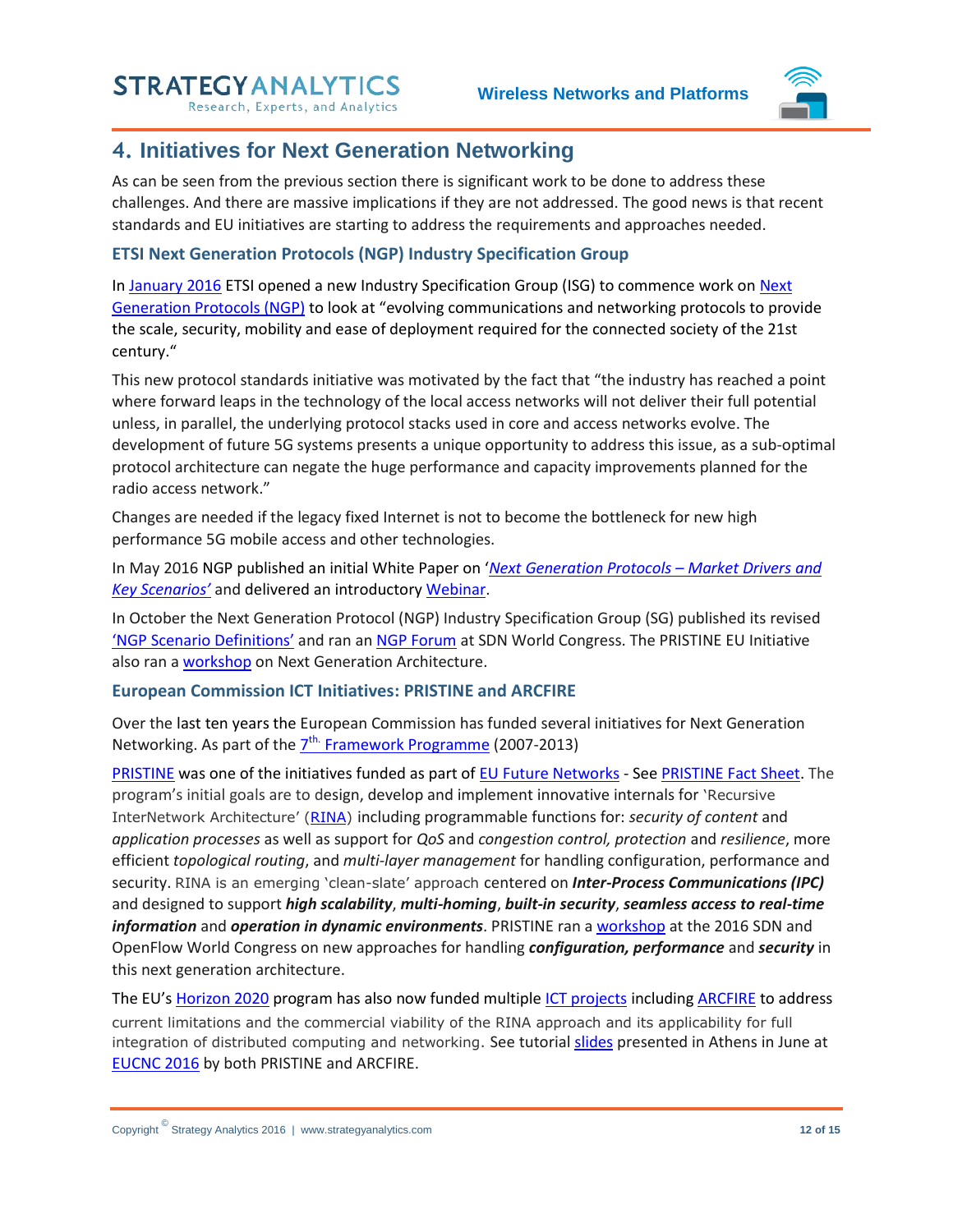Research, Experts, and Analytics



## <span id="page-11-0"></span>**4. Initiatives for Next Generation Networking**

As can be seen from the previous section there is significant work to be done to address these challenges. And there are massive implications if they are not addressed. The good news is that recent standards and EU initiatives are starting to address the requirements and approaches needed.

#### <span id="page-11-1"></span>**ETSI Next Generation Protocols (NGP) Industry Specification Group**

In [January 2016](http://www.etsi.org/news-events/news/1058-2016-01-news-etsi-creates-new-standardization-group-to-pave-the-way-for-next-generation-protocols) ETSI opened a new Industry Specification Group (ISG) to commence work on [Next](http://www.etsi.org/technologies-clusters/technologies/next-generation-protocols)  [Generation Protocols \(NGP\)](http://www.etsi.org/technologies-clusters/technologies/next-generation-protocols) to look at "evolving communications and networking protocols to provide the scale, security, mobility and ease of deployment required for the connected society of the 21st century."

This new protocol standards initiative was motivated by the fact that "the industry has reached a point where forward leaps in the technology of the local access networks will not deliver their full potential unless, in parallel, the underlying protocol stacks used in core and access networks evolve. The development of future 5G systems presents a unique opportunity to address this issue, as a sub-optimal protocol architecture can negate the huge performance and capacity improvements planned for the radio access network."

Changes are needed if the legacy fixed Internet is not to become the bottleneck for new high performance 5G mobile access and other technologies.

In May 2016 NGP published an initial White Paper on '*[Next Generation Protocols](http://www.etsi.org/images/files/ETSIWhitePapers/etsi_wp17_Next_Generation_Protocols_v01.pdf) – Market Drivers and [Key Scenarios'](http://www.etsi.org/images/files/ETSIWhitePapers/etsi_wp17_Next_Generation_Protocols_v01.pdf)* and delivered an introductor[y Webinar.](http://www.etsi.org/index.php/news-events/events/1091-2016-05-webinar-next-generation-protocols)

In October the Next Generation Protocol (NGP) Industry Specification Group (SG) published its revised '[NGP Scenario Definitions](http://www.etsi.org/deliver/etsi_gs/NGP/001_099/001/01.01.01_60/gs_NGP001v010101p.pdf)' and ran an [NGP Forum](http://www.layer123.com/sdn-agenda-workshop/#Forum-11) at SDN World Congress. The PRISTINE EU Initiative also ran a **workshop** on Next Generation Architecture.

#### <span id="page-11-2"></span>**European Commission ICT Initiatives: PRISTINE and ARCFIRE**

Over the last ten years the European Commission has funded several initiatives for Next Generation Networking. As part of the  $2^{th}$  [Framework Programme](https://ec.europa.eu/research/fp7/index_en.cfm) (2007-2013)

[PRISTINE](http://ict-pristine.eu/?page_id=35) was one of the initiatives funded as part of [EU Future Networks](http://cordis.europa.eu/fp7/ict/future-networks/projects_en.html) - See [PRISTINE Fact Sheet.](http://ict-pristine.eu/wp-content/uploads/2013/12/Pristine_project_FI_factsheet.pdf) The program's initial goals are to design, develop and implement innovative internals for 'Recursive InterNetwork Architecture' ([RINA\)](http://ict-pristine.eu/?page_id=62) including programmable functions for: *security of content* and *application processes* as well as support for *QoS* and *congestion control, protection* and *resilience*, more efficient *topological routing*, and *multi-layer management* for handling configuration, performance and security. RINA is an emerging 'clean-slate' approach centered on *Inter-Process Communications (IPC)*  and designed to support *high scalability*, *multi-homing*, *built-in security*, *seamless access to real-time information* and *operation in dynamic environments*. PRISTINE ran [a workshop](http://www.layer123.com/sdn-agenda-day2/#Forum-7) at the 2016 SDN and OpenFlow World Congress on new approaches for handling *configuration, performance* and *security* in this next generation architecture.

The EU's [Horizon 2020](http://ec.europa.eu/programmes/horizon2020/en/what-horizon-2020) program has also now funded multipl[e ICT projects](http://ec.europa.eu/programmes/horizon2020/en/area/ict-research-innovation) includin[g ARCFIRE](http://cordis.europa.eu/project/rcn/199487_en.html) to address current limitations and the commercial viability of the RINA approach and its applicability for full integration of distributed computing and networking. See tutorial [slides](http://www.slideshare.net/ictpristine) presented in Athens in June at [EUCNC 2016](http://www.eucnc.eu/?q=node/132) by both PRISTINE and ARCFIRE.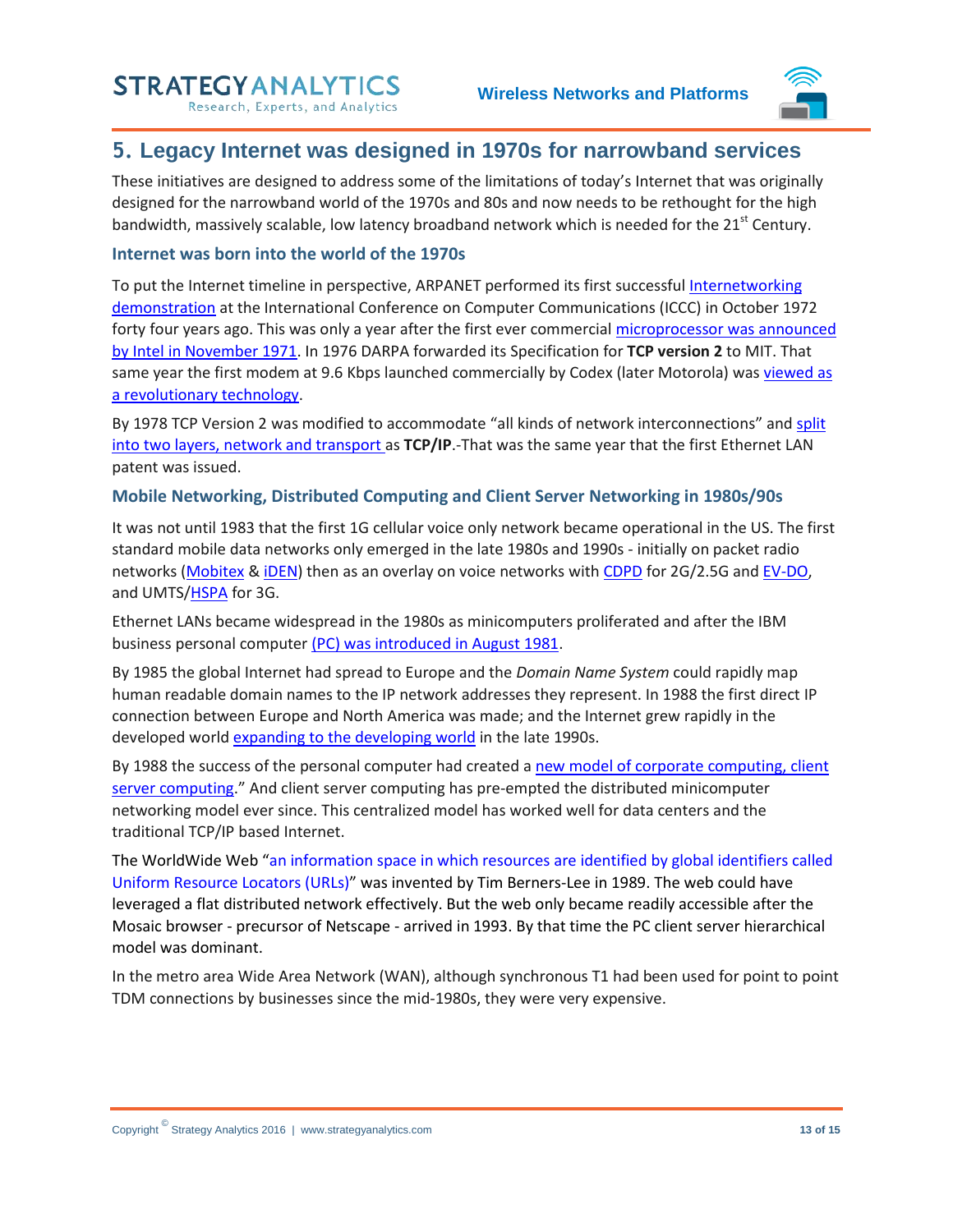Research, Experts, and Analytics



## <span id="page-12-0"></span>**5. Legacy Internet was designed in 1970s for narrowband services**

These initiatives are designed to address some of the limitations of today's Internet that was originally designed for the narrowband world of the 1970s and 80s and now needs to be rethought for the high bandwidth, massively scalable, low latency broadband network which is needed for the 21<sup>st</sup> Century.

#### <span id="page-12-1"></span>**Internet was born into the world of the 1970s**

To put the Internet timeline in perspective, ARPANET performed its first successful [Internetworking](http://www.historyofcomputercommunications.info/Book/6/6.0-Overview.html)  [demonstration](http://www.historyofcomputercommunications.info/Book/6/6.0-Overview.html) at the International Conference on Computer Communications (ICCC) in October 1972 forty four years ago. This was only a year after the first ever commercial [microprocessor was announced](http://www.historyofcomputercommunications.info/Book/5/5.1MinicomputersDistributedDataProcessingMicroprocessors.html)  [by Intel in November 1971.](http://www.historyofcomputercommunications.info/Book/5/5.1MinicomputersDistributedDataProcessingMicroprocessors.html) In 1976 DARPA forwarded its Specification for **TCP version 2** to MIT. That same year the first modem at 9.6 Kbps launched commercially by Codex (later Motorola) wa[s viewed as](http://www.historyofcomputercommunications.info/Book/5/5.5Codex-LSIModemCompetition74-75.html)  [a revolutionary technology.](http://www.historyofcomputercommunications.info/Book/5/5.5Codex-LSIModemCompetition74-75.html)

By 1978 TCP Version 2 was modified to accommodate "all kinds of network interconnections" and [split](http://www.historyofcomputercommunications.info/Book/6/6.11TCP-TCP-IP76-79%20.html)  [into two layers, network and transport a](http://www.historyofcomputercommunications.info/Book/6/6.11TCP-TCP-IP76-79%20.html)s **TCP/IP**.-That was the same year that the first Ethernet LAN patent was issued.

#### <span id="page-12-2"></span>**Mobile Networking, Distributed Computing and Client Server Networking in 1980s/90s**

It was not until 1983 that the first 1G cellular voice only network became operational in the US. The first standard mobile data networks only emerged in the late 1980s and 1990s - initially on packet radio networks [\(Mobitex](https://en.wikipedia.org/wiki/Mobitex) [& iDEN\)](https://en.wikipedia.org/wiki/IDEN) then as an overlay on voice networks wit[h CDPD](https://en.wikipedia.org/wiki/Cellular_digital_packet_data) for 2G/2.5G and [EV-DO,](https://en.wikipedia.org/wiki/Evolution-Data_Optimized) and UMTS[/HSPA](https://en.wikipedia.org/wiki/High_Speed_Packet_Access#High_Speed_Downlink_Packet_Access_.28HSDPA.29) for 3G.

Ethernet LANs became widespread in the 1980s as minicomputers proliferated and after the IBM business personal computer (PC) [was introduced in August 1981.](http://www.historyofcomputercommunications.info/Book/10/10.0-Overview.html)

By 1985 the global Internet had spread to Europe and the *Domain Name System* could rapidly map human readable domain names to the IP network addresses they represent. In 1988 the first direct IP connection between Europe and North America was made; and the Internet grew rapidly in the developed world [expanding to the developing world](https://en.wikipedia.org/wiki/Internet) in the late 1990s.

By 1988 the success of the personal computer had created a [new model of corporate computing, client](http://www.historyofcomputercommunications.info/Book/Introduction/0.4-ThreeRevolutionsComputerTechnologiesCorporateUsage68-88.html)  [server computing](http://www.historyofcomputercommunications.info/Book/Introduction/0.4-ThreeRevolutionsComputerTechnologiesCorporateUsage68-88.html)." And client server computing has pre-empted the distributed minicomputer networking model ever since. This centralized model has worked well for data centers and the traditional TCP/IP based Internet.

The WorldWide Web "[an information space in which resources are identified by global identifiers called](https://www.w3.org/TR/webarch/)  [Uniform Resource Locators \(URLs\)](https://www.w3.org/TR/webarch/)" was invented by Tim Berners-Lee in 1989. The web could have leveraged a flat distributed network effectively. But the web only became readily accessible after the Mosaic browser - precursor of Netscape - arrived in 1993. By that time the PC client server hierarchical model was dominant.

In the metro area Wide Area Network (WAN), although synchronous T1 had been used for point to point TDM connections by businesses since the mid-1980s, they were very expensive.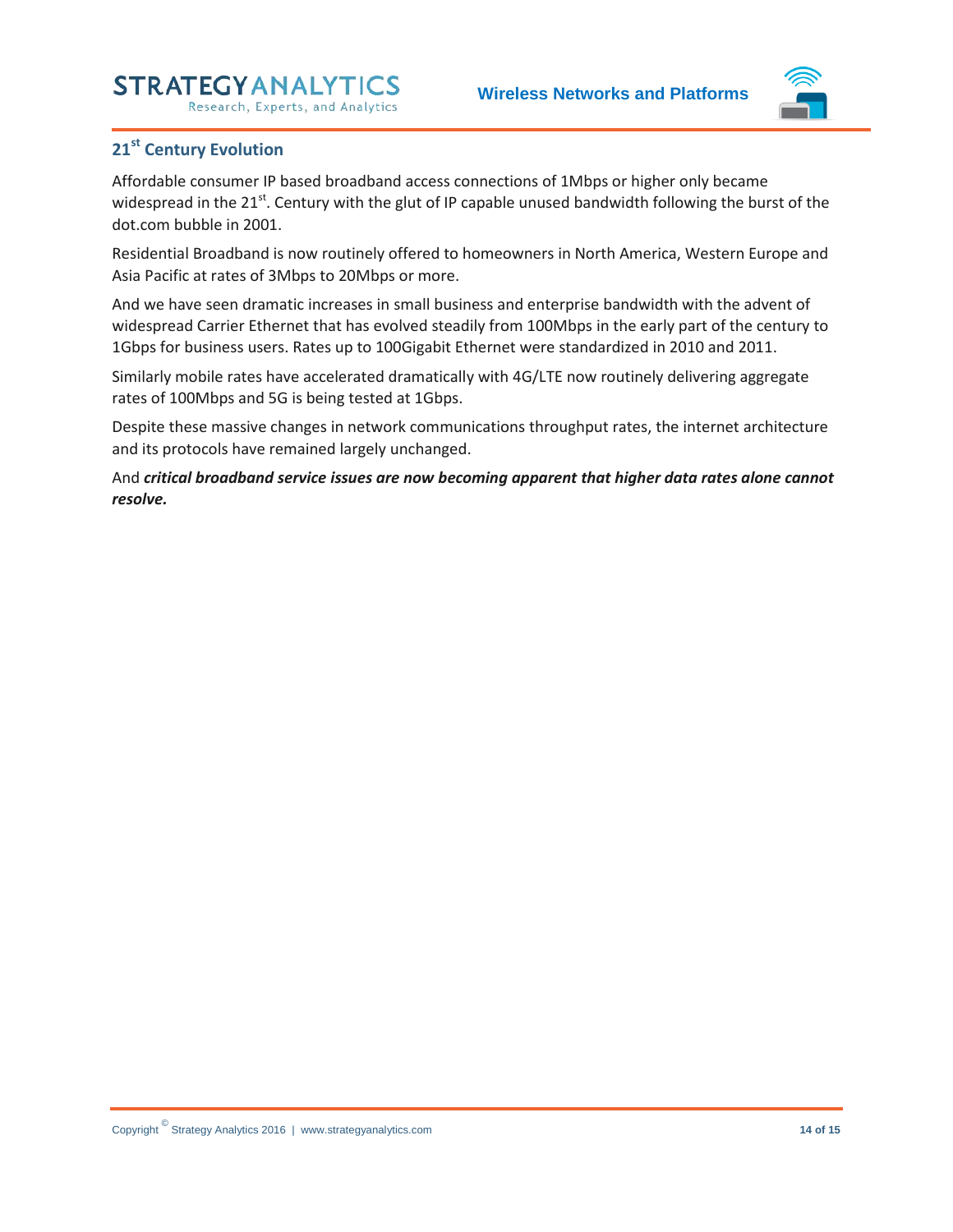Research, Experts, and Analytics



### <span id="page-13-0"></span>**21st Century Evolution**

Affordable consumer IP based broadband access connections of 1Mbps or higher only became widespread in the 21<sup>st</sup>. Century with the glut of IP capable unused bandwidth following the burst of the dot.com bubble in 2001.

Residential Broadband is now routinely offered to homeowners in North America, Western Europe and Asia Pacific at rates of 3Mbps to 20Mbps or more.

And we have seen dramatic increases in small business and enterprise bandwidth with the advent of widespread Carrier Ethernet that has evolved steadily from 100Mbps in the early part of the century to 1Gbps for business users. Rates up to 100Gigabit Ethernet were standardized in 2010 and 2011.

Similarly mobile rates have accelerated dramatically with 4G/LTE now routinely delivering aggregate rates of 100Mbps and 5G is being tested at 1Gbps.

Despite these massive changes in network communications throughput rates, the internet architecture and its protocols have remained largely unchanged.

And *critical broadband service issues are now becoming apparent that higher data rates alone cannot resolve.*